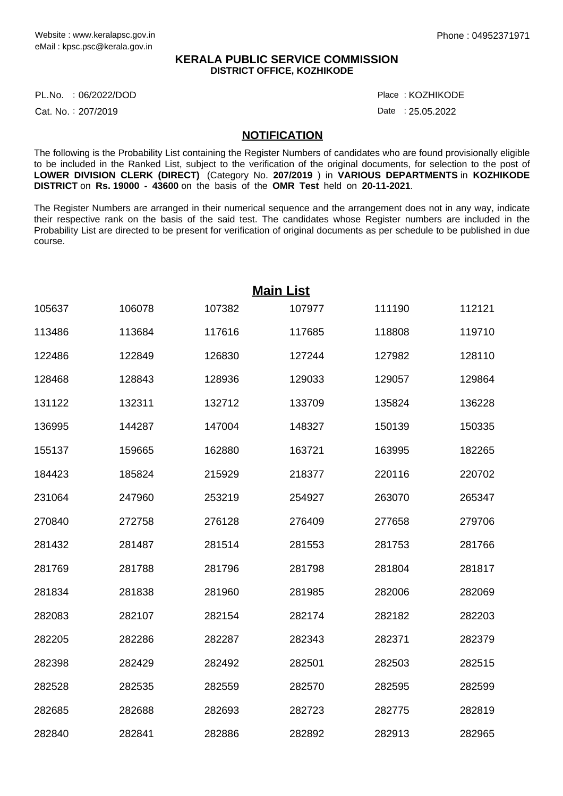## **KERALA PUBLIC SERVICE COMMISSION DISTRICT OFFICE, KOZHIKODE**

PL.No. :06/2022/DOD Place

Cat. No.: 207/2019

Date : 25.05.2022 : KOZHIKODE

## **NOTIFICATION**

The following is the Probability List containing the Register Numbers of candidates who are found provisionally eligible to be included in the Ranked List, subject to the verification of the original documents, for selection to the post of **LOWER DIVISION CLERK (DIRECT)** (Category No. **207/2019** ) in **VARIOUS DEPARTMENTS** in **KOZHIKODE DISTRICT** on **Rs. 19000 - 43600** on the basis of the **OMR Test** held on **20-11-2021**.

The Register Numbers are arranged in their numerical sequence and the arrangement does not in any way, indicate their respective rank on the basis of the said test. The candidates whose Register numbers are included in the Probability List are directed to be present for verification of original documents as per schedule to be published in due course.

| <b>Main List</b> |        |        |        |        |        |  |  |  |
|------------------|--------|--------|--------|--------|--------|--|--|--|
| 105637           | 106078 | 107382 | 107977 | 111190 | 112121 |  |  |  |
| 113486           | 113684 | 117616 | 117685 | 118808 | 119710 |  |  |  |
| 122486           | 122849 | 126830 | 127244 | 127982 | 128110 |  |  |  |
| 128468           | 128843 | 128936 | 129033 | 129057 | 129864 |  |  |  |
| 131122           | 132311 | 132712 | 133709 | 135824 | 136228 |  |  |  |
| 136995           | 144287 | 147004 | 148327 | 150139 | 150335 |  |  |  |
| 155137           | 159665 | 162880 | 163721 | 163995 | 182265 |  |  |  |
| 184423           | 185824 | 215929 | 218377 | 220116 | 220702 |  |  |  |
| 231064           | 247960 | 253219 | 254927 | 263070 | 265347 |  |  |  |
| 270840           | 272758 | 276128 | 276409 | 277658 | 279706 |  |  |  |
| 281432           | 281487 | 281514 | 281553 | 281753 | 281766 |  |  |  |
| 281769           | 281788 | 281796 | 281798 | 281804 | 281817 |  |  |  |
| 281834           | 281838 | 281960 | 281985 | 282006 | 282069 |  |  |  |
| 282083           | 282107 | 282154 | 282174 | 282182 | 282203 |  |  |  |
| 282205           | 282286 | 282287 | 282343 | 282371 | 282379 |  |  |  |
| 282398           | 282429 | 282492 | 282501 | 282503 | 282515 |  |  |  |
| 282528           | 282535 | 282559 | 282570 | 282595 | 282599 |  |  |  |
| 282685           | 282688 | 282693 | 282723 | 282775 | 282819 |  |  |  |
| 282840           | 282841 | 282886 | 282892 | 282913 | 282965 |  |  |  |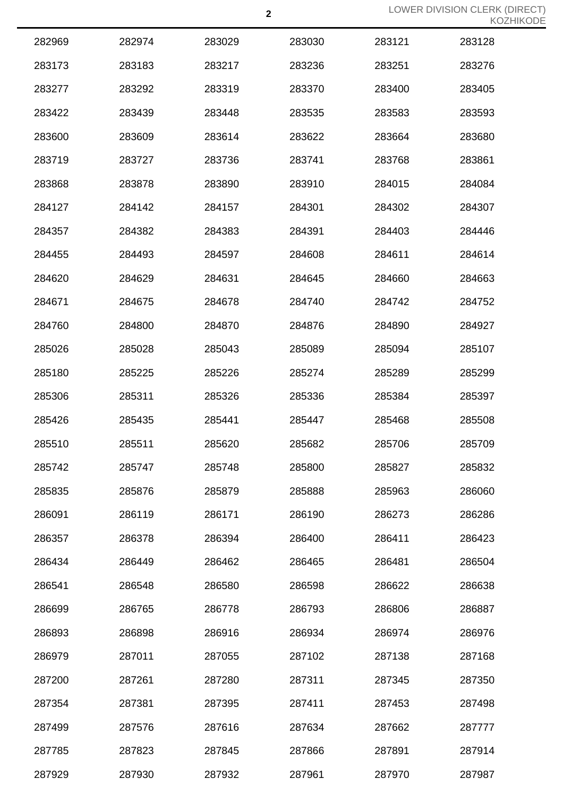| 282969 | 282974 | 283029 | 283030 | 283121 | 283128 |
|--------|--------|--------|--------|--------|--------|
| 283173 | 283183 | 283217 | 283236 | 283251 | 283276 |
| 283277 | 283292 | 283319 | 283370 | 283400 | 283405 |
| 283422 | 283439 | 283448 | 283535 | 283583 | 283593 |
| 283600 | 283609 | 283614 | 283622 | 283664 | 283680 |
| 283719 | 283727 | 283736 | 283741 | 283768 | 283861 |
| 283868 | 283878 | 283890 | 283910 | 284015 | 284084 |
| 284127 | 284142 | 284157 | 284301 | 284302 | 284307 |
| 284357 | 284382 | 284383 | 284391 | 284403 | 284446 |
| 284455 | 284493 | 284597 | 284608 | 284611 | 284614 |
| 284620 | 284629 | 284631 | 284645 | 284660 | 284663 |
| 284671 | 284675 | 284678 | 284740 | 284742 | 284752 |
| 284760 | 284800 | 284870 | 284876 | 284890 | 284927 |
| 285026 | 285028 | 285043 | 285089 | 285094 | 285107 |
| 285180 | 285225 | 285226 | 285274 | 285289 | 285299 |
| 285306 | 285311 | 285326 | 285336 | 285384 | 285397 |
| 285426 | 285435 | 285441 | 285447 | 285468 | 285508 |
| 285510 | 285511 | 285620 | 285682 | 285706 | 285709 |
| 285742 | 285747 | 285748 | 285800 | 285827 | 285832 |
| 285835 | 285876 | 285879 | 285888 | 285963 | 286060 |
| 286091 | 286119 | 286171 | 286190 | 286273 | 286286 |
| 286357 | 286378 | 286394 | 286400 | 286411 | 286423 |
| 286434 | 286449 | 286462 | 286465 | 286481 | 286504 |
| 286541 | 286548 | 286580 | 286598 | 286622 | 286638 |
| 286699 | 286765 | 286778 | 286793 | 286806 | 286887 |
| 286893 | 286898 | 286916 | 286934 | 286974 | 286976 |
| 286979 | 287011 | 287055 | 287102 | 287138 | 287168 |
| 287200 | 287261 | 287280 | 287311 | 287345 | 287350 |
| 287354 | 287381 | 287395 | 287411 | 287453 | 287498 |
| 287499 | 287576 | 287616 | 287634 | 287662 | 287777 |
| 287785 | 287823 | 287845 | 287866 | 287891 | 287914 |
| 287929 | 287930 | 287932 | 287961 | 287970 | 287987 |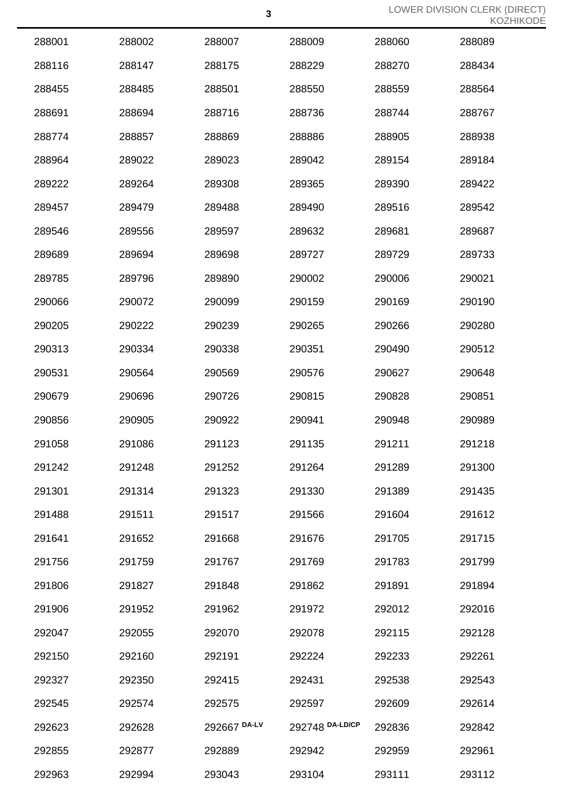| 288001 | 288002 | 288007       | 288009          | 288060 | 288089 |
|--------|--------|--------------|-----------------|--------|--------|
| 288116 | 288147 | 288175       | 288229          | 288270 | 288434 |
| 288455 | 288485 | 288501       | 288550          | 288559 | 288564 |
| 288691 | 288694 | 288716       | 288736          | 288744 | 288767 |
| 288774 | 288857 | 288869       | 288886          | 288905 | 288938 |
| 288964 | 289022 | 289023       | 289042          | 289154 | 289184 |
| 289222 | 289264 | 289308       | 289365          | 289390 | 289422 |
| 289457 | 289479 | 289488       | 289490          | 289516 | 289542 |
| 289546 | 289556 | 289597       | 289632          | 289681 | 289687 |
| 289689 | 289694 | 289698       | 289727          | 289729 | 289733 |
| 289785 | 289796 | 289890       | 290002          | 290006 | 290021 |
| 290066 | 290072 | 290099       | 290159          | 290169 | 290190 |
| 290205 | 290222 | 290239       | 290265          | 290266 | 290280 |
| 290313 | 290334 | 290338       | 290351          | 290490 | 290512 |
| 290531 | 290564 | 290569       | 290576          | 290627 | 290648 |
| 290679 | 290696 | 290726       | 290815          | 290828 | 290851 |
| 290856 | 290905 | 290922       | 290941          | 290948 | 290989 |
| 291058 | 291086 | 291123       | 291135          | 291211 | 291218 |
| 291242 | 291248 | 291252       | 291264          | 291289 | 291300 |
| 291301 | 291314 | 291323       | 291330          | 291389 | 291435 |
| 291488 | 291511 | 291517       | 291566          | 291604 | 291612 |
| 291641 | 291652 | 291668       | 291676          | 291705 | 291715 |
| 291756 | 291759 | 291767       | 291769          | 291783 | 291799 |
| 291806 | 291827 | 291848       | 291862          | 291891 | 291894 |
| 291906 | 291952 | 291962       | 291972          | 292012 | 292016 |
| 292047 | 292055 | 292070       | 292078          | 292115 | 292128 |
| 292150 | 292160 | 292191       | 292224          | 292233 | 292261 |
| 292327 | 292350 | 292415       | 292431          | 292538 | 292543 |
| 292545 | 292574 | 292575       | 292597          | 292609 | 292614 |
| 292623 | 292628 | 292667 DA-LV | 292748 DA-LD/CP | 292836 | 292842 |
| 292855 | 292877 | 292889       | 292942          | 292959 | 292961 |
| 292963 | 292994 | 293043       | 293104          | 293111 | 293112 |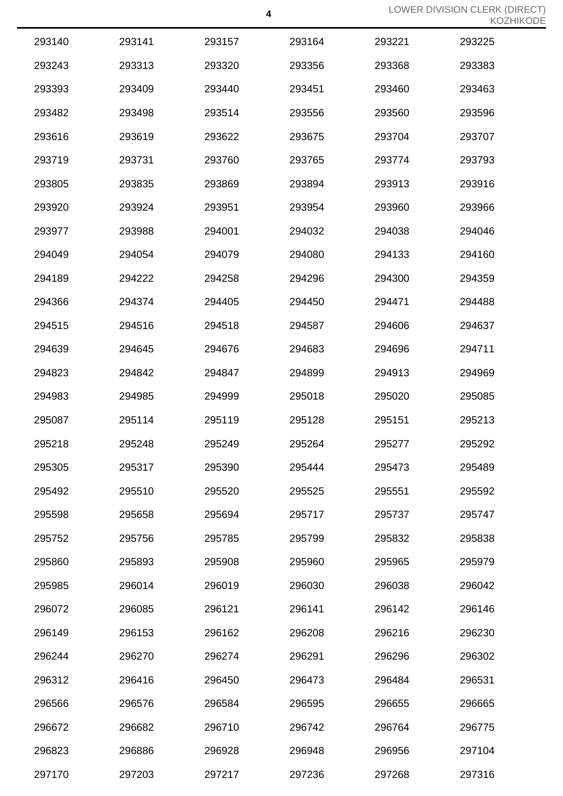| 293140 | 293141 | 293157 | 293164 | 293221 | 293225 |
|--------|--------|--------|--------|--------|--------|
| 293243 | 293313 | 293320 | 293356 | 293368 | 293383 |
| 293393 | 293409 | 293440 | 293451 | 293460 | 293463 |
| 293482 | 293498 | 293514 | 293556 | 293560 | 293596 |
| 293616 | 293619 | 293622 | 293675 | 293704 | 293707 |
| 293719 | 293731 | 293760 | 293765 | 293774 | 293793 |
| 293805 | 293835 | 293869 | 293894 | 293913 | 293916 |
| 293920 | 293924 | 293951 | 293954 | 293960 | 293966 |
| 293977 | 293988 | 294001 | 294032 | 294038 | 294046 |
| 294049 | 294054 | 294079 | 294080 | 294133 | 294160 |
| 294189 | 294222 | 294258 | 294296 | 294300 | 294359 |
| 294366 | 294374 | 294405 | 294450 | 294471 | 294488 |
| 294515 | 294516 | 294518 | 294587 | 294606 | 294637 |
| 294639 | 294645 | 294676 | 294683 | 294696 | 294711 |
| 294823 | 294842 | 294847 | 294899 | 294913 | 294969 |
| 294983 | 294985 | 294999 | 295018 | 295020 | 295085 |
| 295087 | 295114 | 295119 | 295128 | 295151 | 295213 |
| 295218 | 295248 | 295249 | 295264 | 295277 | 295292 |
| 295305 | 295317 | 295390 | 295444 | 295473 | 295489 |
| 295492 | 295510 | 295520 | 295525 | 295551 | 295592 |
| 295598 | 295658 | 295694 | 295717 | 295737 | 295747 |
| 295752 | 295756 | 295785 | 295799 | 295832 | 295838 |
| 295860 | 295893 | 295908 | 295960 | 295965 | 295979 |
| 295985 | 296014 | 296019 | 296030 | 296038 | 296042 |
| 296072 | 296085 | 296121 | 296141 | 296142 | 296146 |
| 296149 | 296153 | 296162 | 296208 | 296216 | 296230 |
| 296244 | 296270 | 296274 | 296291 | 296296 | 296302 |
| 296312 | 296416 | 296450 | 296473 | 296484 | 296531 |
| 296566 | 296576 | 296584 | 296595 | 296655 | 296665 |
| 296672 | 296682 | 296710 | 296742 | 296764 | 296775 |
| 296823 | 296886 | 296928 | 296948 | 296956 | 297104 |
| 297170 | 297203 | 297217 | 297236 | 297268 | 297316 |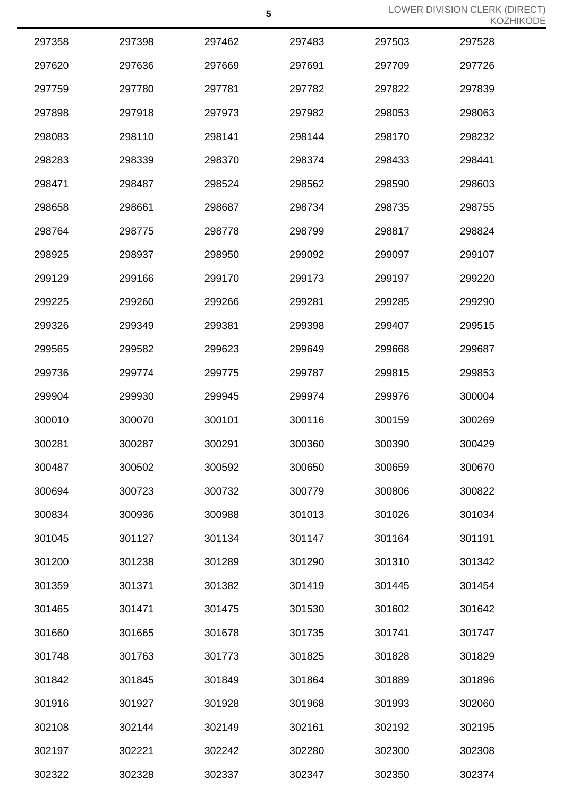|        |        |        |        |        | $\sqrt{2}$ |
|--------|--------|--------|--------|--------|------------|
| 297358 | 297398 | 297462 | 297483 | 297503 | 297528     |
| 297620 | 297636 | 297669 | 297691 | 297709 | 297726     |
| 297759 | 297780 | 297781 | 297782 | 297822 | 297839     |
| 297898 | 297918 | 297973 | 297982 | 298053 | 298063     |
| 298083 | 298110 | 298141 | 298144 | 298170 | 298232     |
| 298283 | 298339 | 298370 | 298374 | 298433 | 298441     |
| 298471 | 298487 | 298524 | 298562 | 298590 | 298603     |
| 298658 | 298661 | 298687 | 298734 | 298735 | 298755     |
| 298764 | 298775 | 298778 | 298799 | 298817 | 298824     |
| 298925 | 298937 | 298950 | 299092 | 299097 | 299107     |
| 299129 | 299166 | 299170 | 299173 | 299197 | 299220     |
| 299225 | 299260 | 299266 | 299281 | 299285 | 299290     |
| 299326 | 299349 | 299381 | 299398 | 299407 | 299515     |
| 299565 | 299582 | 299623 | 299649 | 299668 | 299687     |
| 299736 | 299774 | 299775 | 299787 | 299815 | 299853     |
| 299904 | 299930 | 299945 | 299974 | 299976 | 300004     |
| 300010 | 300070 | 300101 | 300116 | 300159 | 300269     |
| 300281 | 300287 | 300291 | 300360 | 300390 | 300429     |
| 300487 | 300502 | 300592 | 300650 | 300659 | 300670     |
| 300694 | 300723 | 300732 | 300779 | 300806 | 300822     |
| 300834 | 300936 | 300988 | 301013 | 301026 | 301034     |
| 301045 | 301127 | 301134 | 301147 | 301164 | 301191     |
| 301200 | 301238 | 301289 | 301290 | 301310 | 301342     |
| 301359 | 301371 | 301382 | 301419 | 301445 | 301454     |
| 301465 | 301471 | 301475 | 301530 | 301602 | 301642     |
| 301660 | 301665 | 301678 | 301735 | 301741 | 301747     |
| 301748 | 301763 | 301773 | 301825 | 301828 | 301829     |
| 301842 | 301845 | 301849 | 301864 | 301889 | 301896     |
| 301916 | 301927 | 301928 | 301968 | 301993 | 302060     |
| 302108 | 302144 | 302149 | 302161 | 302192 | 302195     |
| 302197 | 302221 | 302242 | 302280 | 302300 | 302308     |
| 302322 | 302328 | 302337 | 302347 | 302350 | 302374     |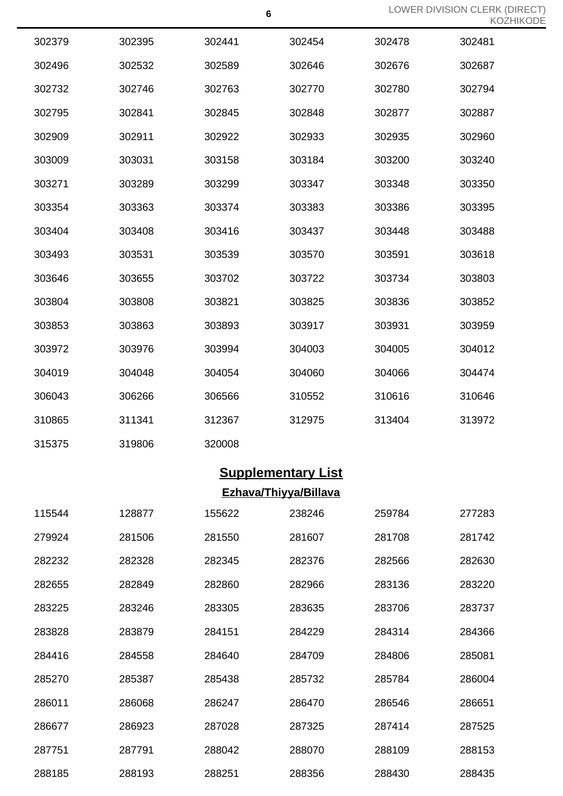| 302379 | 302395 | 302441 | 302454 | 302478 | 302481 |
|--------|--------|--------|--------|--------|--------|
| 302496 | 302532 | 302589 | 302646 | 302676 | 302687 |
| 302732 | 302746 | 302763 | 302770 | 302780 | 302794 |
| 302795 | 302841 | 302845 | 302848 | 302877 | 302887 |
| 302909 | 302911 | 302922 | 302933 | 302935 | 302960 |
| 303009 | 303031 | 303158 | 303184 | 303200 | 303240 |
| 303271 | 303289 | 303299 | 303347 | 303348 | 303350 |
| 303354 | 303363 | 303374 | 303383 | 303386 | 303395 |
| 303404 | 303408 | 303416 | 303437 | 303448 | 303488 |
| 303493 | 303531 | 303539 | 303570 | 303591 | 303618 |
| 303646 | 303655 | 303702 | 303722 | 303734 | 303803 |
| 303804 | 303808 | 303821 | 303825 | 303836 | 303852 |
| 303853 | 303863 | 303893 | 303917 | 303931 | 303959 |
| 303972 | 303976 | 303994 | 304003 | 304005 | 304012 |
| 304019 | 304048 | 304054 | 304060 | 304066 | 304474 |
| 306043 | 306266 | 306566 | 310552 | 310616 | 310646 |
| 310865 | 311341 | 312367 | 312975 | 313404 | 313972 |
| 315375 | 319806 | 320008 |        |        |        |

## **Supplementary List Ezhava/Thiyya/Billava**

| 115544 | 128877 | 155622 | 238246 | 259784 | 277283 |
|--------|--------|--------|--------|--------|--------|
| 279924 | 281506 | 281550 | 281607 | 281708 | 281742 |
| 282232 | 282328 | 282345 | 282376 | 282566 | 282630 |
| 282655 | 282849 | 282860 | 282966 | 283136 | 283220 |
| 283225 | 283246 | 283305 | 283635 | 283706 | 283737 |
| 283828 | 283879 | 284151 | 284229 | 284314 | 284366 |
| 284416 | 284558 | 284640 | 284709 | 284806 | 285081 |
| 285270 | 285387 | 285438 | 285732 | 285784 | 286004 |
| 286011 | 286068 | 286247 | 286470 | 286546 | 286651 |
| 286677 | 286923 | 287028 | 287325 | 287414 | 287525 |
| 287751 | 287791 | 288042 | 288070 | 288109 | 288153 |
| 288185 | 288193 | 288251 | 288356 | 288430 | 288435 |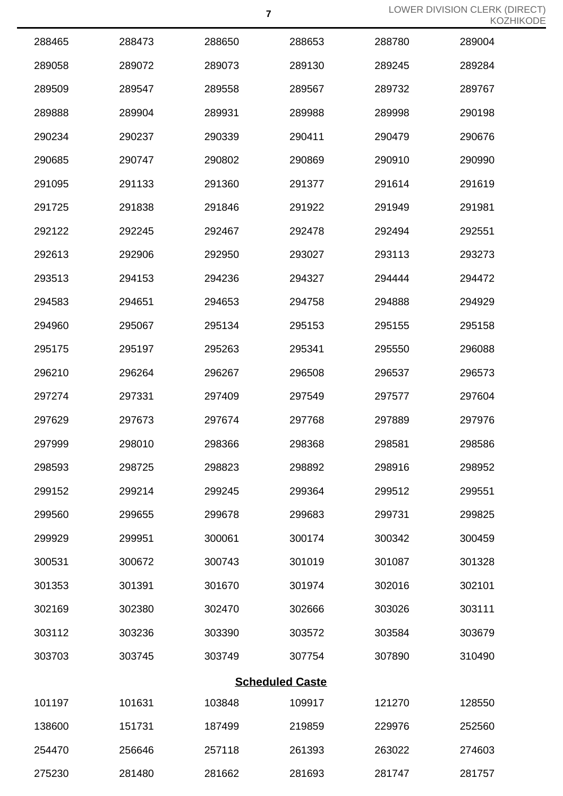| 288465 | 288473 | 288650 | 288653                 | 288780 | 289004 |
|--------|--------|--------|------------------------|--------|--------|
| 289058 | 289072 | 289073 | 289130                 | 289245 | 289284 |
| 289509 | 289547 | 289558 | 289567                 | 289732 | 289767 |
| 289888 | 289904 | 289931 | 289988                 | 289998 | 290198 |
| 290234 | 290237 | 290339 | 290411                 | 290479 | 290676 |
| 290685 | 290747 | 290802 | 290869                 | 290910 | 290990 |
| 291095 | 291133 | 291360 | 291377                 | 291614 | 291619 |
| 291725 | 291838 | 291846 | 291922                 | 291949 | 291981 |
| 292122 | 292245 | 292467 | 292478                 | 292494 | 292551 |
| 292613 | 292906 | 292950 | 293027                 | 293113 | 293273 |
| 293513 | 294153 | 294236 | 294327                 | 294444 | 294472 |
| 294583 | 294651 | 294653 | 294758                 | 294888 | 294929 |
| 294960 | 295067 | 295134 | 295153                 | 295155 | 295158 |
| 295175 | 295197 | 295263 | 295341                 | 295550 | 296088 |
| 296210 | 296264 | 296267 | 296508                 | 296537 | 296573 |
| 297274 | 297331 | 297409 | 297549                 | 297577 | 297604 |
| 297629 | 297673 | 297674 | 297768                 | 297889 | 297976 |
| 297999 | 298010 | 298366 | 298368                 | 298581 | 298586 |
| 298593 | 298725 | 298823 | 298892                 | 298916 | 298952 |
| 299152 | 299214 | 299245 | 299364                 | 299512 | 299551 |
| 299560 | 299655 | 299678 | 299683                 | 299731 | 299825 |
| 299929 | 299951 | 300061 | 300174                 | 300342 | 300459 |
| 300531 | 300672 | 300743 | 301019                 | 301087 | 301328 |
| 301353 | 301391 | 301670 | 301974                 | 302016 | 302101 |
| 302169 | 302380 | 302470 | 302666                 | 303026 | 303111 |
| 303112 | 303236 | 303390 | 303572                 | 303584 | 303679 |
| 303703 | 303745 | 303749 | 307754                 | 307890 | 310490 |
|        |        |        | <b>Scheduled Caste</b> |        |        |
| 101197 | 101631 | 103848 | 109917                 | 121270 | 128550 |
| 138600 | 151731 | 187499 | 219859                 | 229976 | 252560 |
| 254470 | 256646 | 257118 | 261393                 | 263022 | 274603 |
| 275230 | 281480 | 281662 | 281693                 | 281747 | 281757 |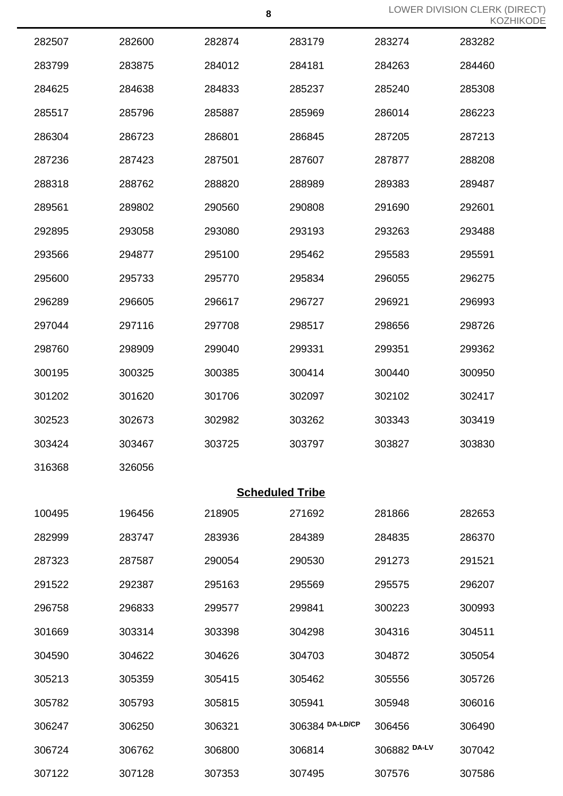|        |        |        | 8                      |              | LOWER DIVISION CLERK (I<br>KOZ |
|--------|--------|--------|------------------------|--------------|--------------------------------|
| 282507 | 282600 | 282874 | 283179                 | 283274       | 283282                         |
| 283799 | 283875 | 284012 | 284181                 | 284263       | 284460                         |
| 284625 | 284638 | 284833 | 285237                 | 285240       | 285308                         |
| 285517 | 285796 | 285887 | 285969                 | 286014       | 286223                         |
| 286304 | 286723 | 286801 | 286845                 | 287205       | 287213                         |
| 287236 | 287423 | 287501 | 287607                 | 287877       | 288208                         |
| 288318 | 288762 | 288820 | 288989                 | 289383       | 289487                         |
| 289561 | 289802 | 290560 | 290808                 | 291690       | 292601                         |
| 292895 | 293058 | 293080 | 293193                 | 293263       | 293488                         |
| 293566 | 294877 | 295100 | 295462                 | 295583       | 295591                         |
| 295600 | 295733 | 295770 | 295834                 | 296055       | 296275                         |
| 296289 | 296605 | 296617 | 296727                 | 296921       | 296993                         |
| 297044 | 297116 | 297708 | 298517                 | 298656       | 298726                         |
| 298760 | 298909 | 299040 | 299331                 | 299351       | 299362                         |
| 300195 | 300325 | 300385 | 300414                 | 300440       | 300950                         |
| 301202 | 301620 | 301706 | 302097                 | 302102       | 302417                         |
| 302523 | 302673 | 302982 | 303262                 | 303343       | 303419                         |
| 303424 | 303467 | 303725 | 303797                 | 303827       | 303830                         |
| 316368 | 326056 |        |                        |              |                                |
|        |        |        | <b>Scheduled Tribe</b> |              |                                |
| 100495 | 196456 | 218905 | 271692                 | 281866       | 282653                         |
| 282999 | 283747 | 283936 | 284389                 | 284835       | 286370                         |
| 287323 | 287587 | 290054 | 290530                 | 291273       | 291521                         |
| 291522 | 292387 | 295163 | 295569                 | 295575       | 296207                         |
| 296758 | 296833 | 299577 | 299841                 | 300223       | 300993                         |
| 301669 | 303314 | 303398 | 304298                 | 304316       | 304511                         |
| 304590 | 304622 | 304626 | 304703                 | 304872       | 305054                         |
| 305213 | 305359 | 305415 | 305462                 | 305556       | 305726                         |
| 305782 | 305793 | 305815 | 305941                 | 305948       | 306016                         |
| 306247 | 306250 | 306321 | 306384 DA-LD/CP        | 306456       | 306490                         |
| 306724 | 306762 | 306800 | 306814                 | 306882 DA-LV | 307042                         |
| 307122 | 307128 | 307353 | 307495                 | 307576       | 307586                         |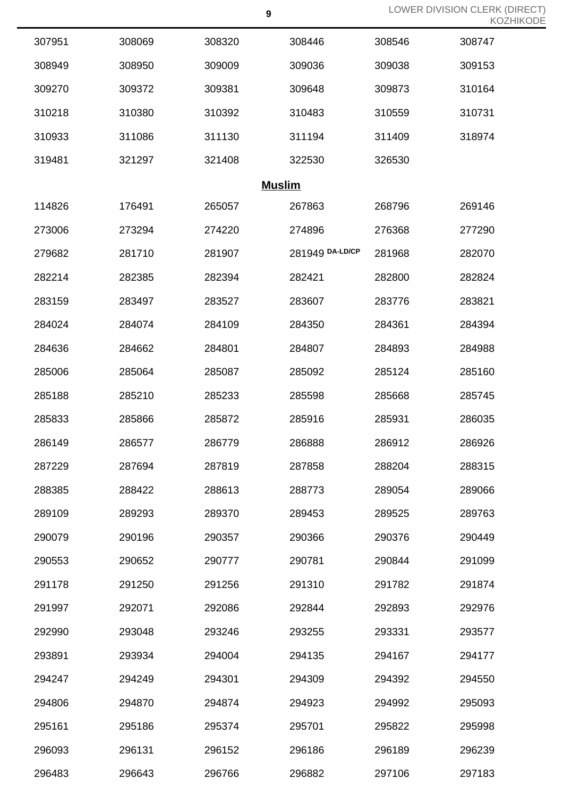| 307951 | 308069 | 308320        | 308446          | 308546 | 308747 |
|--------|--------|---------------|-----------------|--------|--------|
| 308949 | 308950 | 309009        | 309036          | 309038 | 309153 |
| 309270 | 309372 | 309381        | 309648          | 309873 | 310164 |
| 310218 | 310380 | 310392        | 310483          | 310559 | 310731 |
| 310933 | 311086 | 311130        | 311194          | 311409 | 318974 |
| 319481 | 321297 | 321408        | 322530          | 326530 |        |
|        |        | <b>Muslim</b> |                 |        |        |
| 114826 | 176491 | 265057        | 267863          | 268796 | 269146 |
| 273006 | 273294 | 274220        | 274896          | 276368 | 277290 |
| 279682 | 281710 | 281907        | 281949 DA-LD/CP | 281968 | 282070 |
| 282214 | 282385 | 282394        | 282421          | 282800 | 282824 |
| 283159 | 283497 | 283527        | 283607          | 283776 | 283821 |
| 284024 | 284074 | 284109        | 284350          | 284361 | 284394 |
| 284636 | 284662 | 284801        | 284807          | 284893 | 284988 |
| 285006 | 285064 | 285087        | 285092          | 285124 | 285160 |
| 285188 | 285210 | 285233        | 285598          | 285668 | 285745 |
| 285833 | 285866 | 285872        | 285916          | 285931 | 286035 |
| 286149 | 286577 | 286779        | 286888          | 286912 | 286926 |
| 287229 | 287694 | 287819        | 287858          | 288204 | 288315 |
| 288385 | 288422 | 288613        | 288773          | 289054 | 289066 |
| 289109 | 289293 | 289370        | 289453          | 289525 | 289763 |
| 290079 | 290196 | 290357        | 290366          | 290376 | 290449 |
| 290553 | 290652 | 290777        | 290781          | 290844 | 291099 |
| 291178 | 291250 | 291256        | 291310          | 291782 | 291874 |
| 291997 | 292071 | 292086        | 292844          | 292893 | 292976 |
| 292990 | 293048 | 293246        | 293255          | 293331 | 293577 |
| 293891 | 293934 | 294004        | 294135          | 294167 | 294177 |
| 294247 | 294249 | 294301        | 294309          | 294392 | 294550 |
| 294806 | 294870 | 294874        | 294923          | 294992 | 295093 |
| 295161 | 295186 | 295374        | 295701          | 295822 | 295998 |
| 296093 | 296131 | 296152        | 296186          | 296189 | 296239 |
| 296483 | 296643 | 296766        | 296882          | 297106 | 297183 |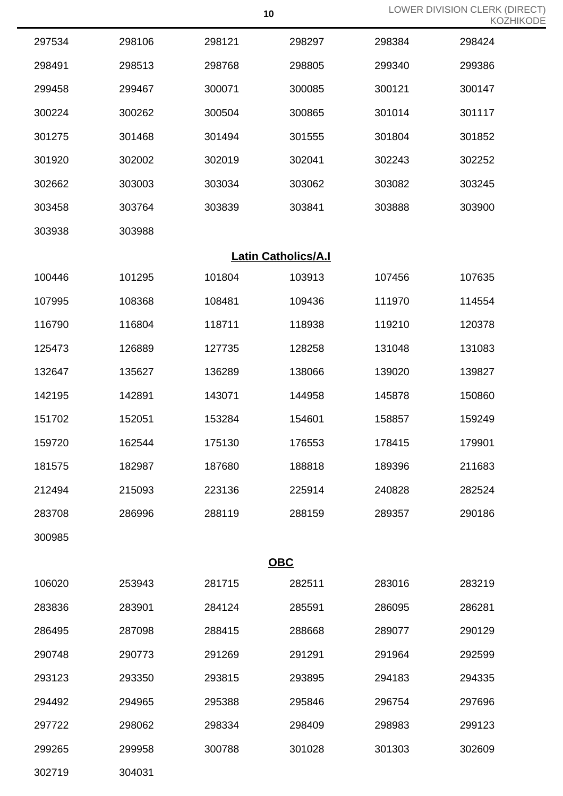| 297534 | 298106 | 298121                     | 298297 | 298384 | 298424 |
|--------|--------|----------------------------|--------|--------|--------|
| 298491 | 298513 | 298768                     | 298805 | 299340 | 299386 |
| 299458 | 299467 | 300071                     | 300085 | 300121 | 300147 |
| 300224 | 300262 | 300504                     | 300865 | 301014 | 301117 |
| 301275 | 301468 | 301494                     | 301555 | 301804 | 301852 |
| 301920 | 302002 | 302019                     | 302041 | 302243 | 302252 |
| 302662 | 303003 | 303034                     | 303062 | 303082 | 303245 |
| 303458 | 303764 | 303839                     | 303841 | 303888 | 303900 |
| 303938 | 303988 |                            |        |        |        |
|        |        | <b>Latin Catholics/A.I</b> |        |        |        |
| 100446 | 101295 | 101804                     | 103913 | 107456 | 107635 |
| 107995 | 108368 | 108481                     | 109436 | 111970 | 114554 |
| 116790 | 116804 | 118711                     | 118938 | 119210 | 120378 |
| 125473 | 126889 | 127735                     | 128258 | 131048 | 131083 |
| 132647 | 135627 | 136289                     | 138066 | 139020 | 139827 |
| 142195 | 142891 | 143071                     | 144958 | 145878 | 150860 |
| 151702 | 152051 | 153284                     | 154601 | 158857 | 159249 |
| 159720 | 162544 | 175130                     | 176553 | 178415 | 179901 |
| 181575 | 182987 | 187680                     | 188818 | 189396 | 211683 |
| 212494 | 215093 | 223136                     | 225914 | 240828 | 282524 |
| 283708 | 286996 | 288119                     | 288159 | 289357 | 290186 |
| 300985 |        |                            |        |        |        |
|        |        | <b>OBC</b>                 |        |        |        |
| 106020 | 253943 | 281715                     | 282511 | 283016 | 283219 |
| 283836 | 283901 | 284124                     | 285591 | 286095 | 286281 |
| 286495 | 287098 | 288415                     | 288668 | 289077 | 290129 |
| 290748 | 290773 | 291269                     | 291291 | 291964 | 292599 |
| 293123 | 293350 | 293815                     | 293895 | 294183 | 294335 |
| 294492 | 294965 | 295388                     | 295846 | 296754 | 297696 |
| 297722 | 298062 | 298334                     | 298409 | 298983 | 299123 |
| 299265 | 299958 | 300788                     | 301028 | 301303 | 302609 |
|        |        |                            |        |        |        |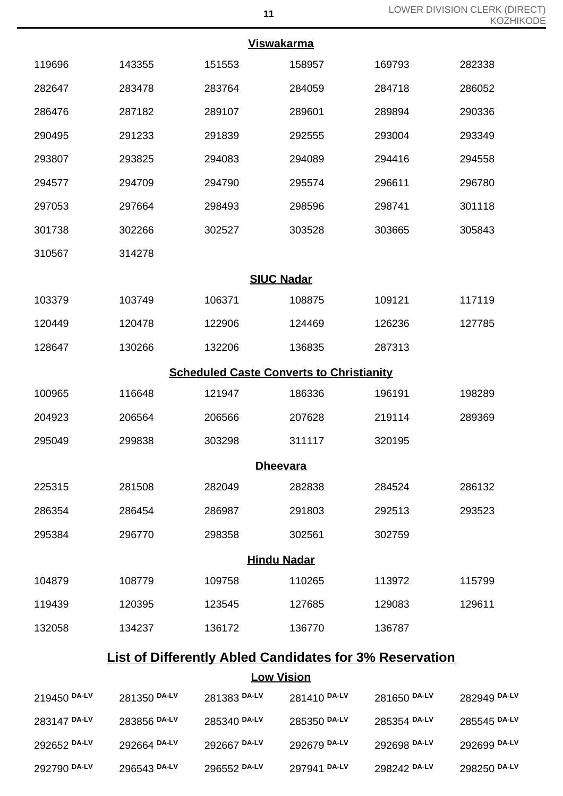| <b>Viswakarma</b> |        |                    |                                                 |        |        |  |  |  |
|-------------------|--------|--------------------|-------------------------------------------------|--------|--------|--|--|--|
| 119696            | 143355 | 151553             | 158957                                          | 169793 | 282338 |  |  |  |
| 282647            | 283478 | 283764             | 284059                                          | 284718 | 286052 |  |  |  |
| 286476            | 287182 | 289107             | 289601                                          | 289894 | 290336 |  |  |  |
| 290495            | 291233 | 291839             | 292555                                          | 293004 | 293349 |  |  |  |
| 293807            | 293825 | 294083             | 294089                                          | 294416 | 294558 |  |  |  |
| 294577            | 294709 | 294790             | 295574                                          | 296611 | 296780 |  |  |  |
| 297053            | 297664 | 298493             | 298596                                          | 298741 | 301118 |  |  |  |
| 301738            | 302266 | 302527             | 303528                                          | 303665 | 305843 |  |  |  |
| 310567            | 314278 |                    |                                                 |        |        |  |  |  |
|                   |        | <b>SIUC Nadar</b>  |                                                 |        |        |  |  |  |
| 103379            | 103749 | 106371             | 108875                                          | 109121 | 117119 |  |  |  |
| 120449            | 120478 | 122906             | 124469                                          | 126236 | 127785 |  |  |  |
| 128647            | 130266 | 132206             | 136835                                          | 287313 |        |  |  |  |
|                   |        |                    | <b>Scheduled Caste Converts to Christianity</b> |        |        |  |  |  |
| 100965            | 116648 | 121947             | 186336                                          | 196191 | 198289 |  |  |  |
| 204923            | 206564 | 206566             | 207628                                          | 219114 | 289369 |  |  |  |
| 295049            | 299838 | 303298             | 311117                                          | 320195 |        |  |  |  |
|                   |        | <b>Dheevara</b>    |                                                 |        |        |  |  |  |
| 225315            | 281508 | 282049             | 282838                                          | 284524 | 286132 |  |  |  |
| 286354            | 286454 | 286987             | 291803                                          | 292513 | 293523 |  |  |  |
| 295384            | 296770 | 298358             | 302561                                          | 302759 |        |  |  |  |
|                   |        | <b>Hindu Nadar</b> |                                                 |        |        |  |  |  |
| 104879            | 108779 | 109758             | 110265                                          | 113972 | 115799 |  |  |  |
| 119439            | 120395 | 123545             | 127685                                          | 129083 | 129611 |  |  |  |
| 132058            | 134237 | 136172             | 136770                                          | 136787 |        |  |  |  |

## **List of Differently Abled Candidates for 3% Reservation**

**Low Vision**

| 219450 DA-LV | 281350 DA-LV | 281383 DA-LV | 281410 DA-LV | 281650 DA-LV | 282949 DA-LV |
|--------------|--------------|--------------|--------------|--------------|--------------|
| 283147 DA-LV | 283856 DA-LV | 285340 DA-LV | 285350 DA-LV | 285354 DA-LV | 285545 DA-LV |
| 292652 DA-LV | 292664 DA-LV | 292667 DA-LV | 292679 DA-LV | 292698 DA-LV | 292699 DA-LV |
| 292790 DA-LV | 296543 DA-LV | 296552 DA-LV | 297941 DA-LV | 298242 DA-LV | 298250 DA-LV |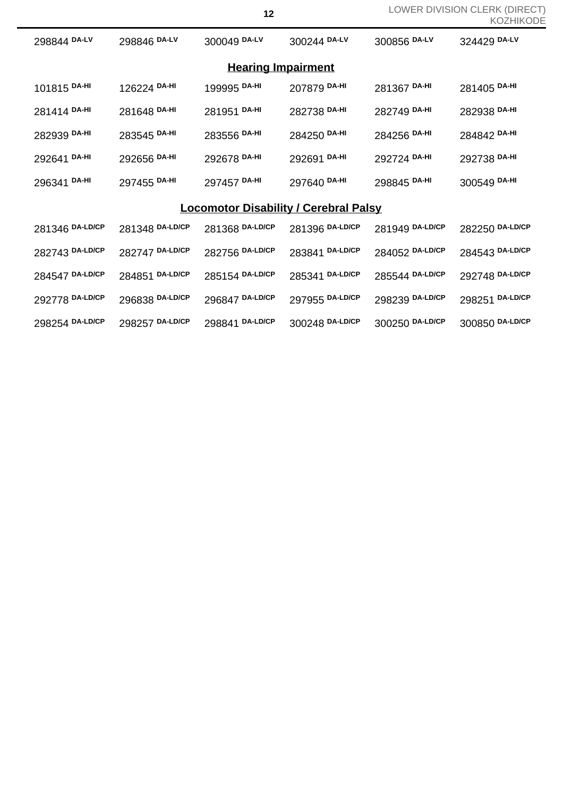|                                              |                 |                 |                 |                 | ▎▎◡▃▏▏▏▏ヽ◡▎     |  |  |  |
|----------------------------------------------|-----------------|-----------------|-----------------|-----------------|-----------------|--|--|--|
| 298844 DA-LV                                 | 298846 DA-LV    | 300049 DA-LV    | 300244 DA-LV    | 300856 DA-LV    | 324429 DA-LV    |  |  |  |
| <b>Hearing Impairment</b>                    |                 |                 |                 |                 |                 |  |  |  |
| 101815 DA-HI                                 | 126224 DA-HI    | 199995 DA-HI    | 207879 DA-HI    | 281367 DA-HI    | 281405 DA-HI    |  |  |  |
| 281414 DA-HI                                 | 281648 DA-HI    | 281951 DA-HI    | 282738 DA-HI    | 282749 DA-HI    | 282938 DA-HI    |  |  |  |
| 282939 DA-HI                                 | 283545 DA-HI    | 283556 DA-HI    | 284250 DA-HI    | 284256 DA-HI    | 284842 DA-HI    |  |  |  |
| 292641 DA-HI                                 | 292656 DA-HI    | 292678 DA-HI    | 292691 DA-HI    | 292724 DA-HI    | 292738 DA-HI    |  |  |  |
| 296341 DA-HI                                 | 297455 DA-HI    | 297457 DA-HI    | 297640 DA-HI    | 298845 DA-HI    | 300549 DA-HI    |  |  |  |
| <b>Locomotor Disability / Cerebral Palsy</b> |                 |                 |                 |                 |                 |  |  |  |
| 281346 DA-LD/CP                              | 281348 DA-LD/CP | 281368 DA-LD/CP | 281396 DA-LD/CP | 281949 DA-LD/CP | 282250 DA-LD/CP |  |  |  |
| 282743 DA-LD/CP                              | 282747 DA-LD/CP | 282756 DA-LD/CP | 283841 DA-LD/CP | 284052 DA-LD/CP | 284543 DA-LD/CP |  |  |  |
| 284547 DA-LD/CP                              | 284851 DA-LD/CP | 285154 DA-LD/CP | 285341 DA-LD/CP | 285544 DA-LD/CP | 292748 DA-LD/CP |  |  |  |
| 292778 DA-LD/CP                              | 296838 DA-LD/CP | 296847 DA-LD/CP | 297955 DA-LD/CP | 298239 DA-LD/CP | 298251 DA-LD/CP |  |  |  |
| 298254 DA-LD/CP                              | 298257 DA-LD/CP | 298841 DA-LD/CP | 300248 DA-LD/CP | 300250 DA-LD/CP | 300850 DA-LD/CP |  |  |  |